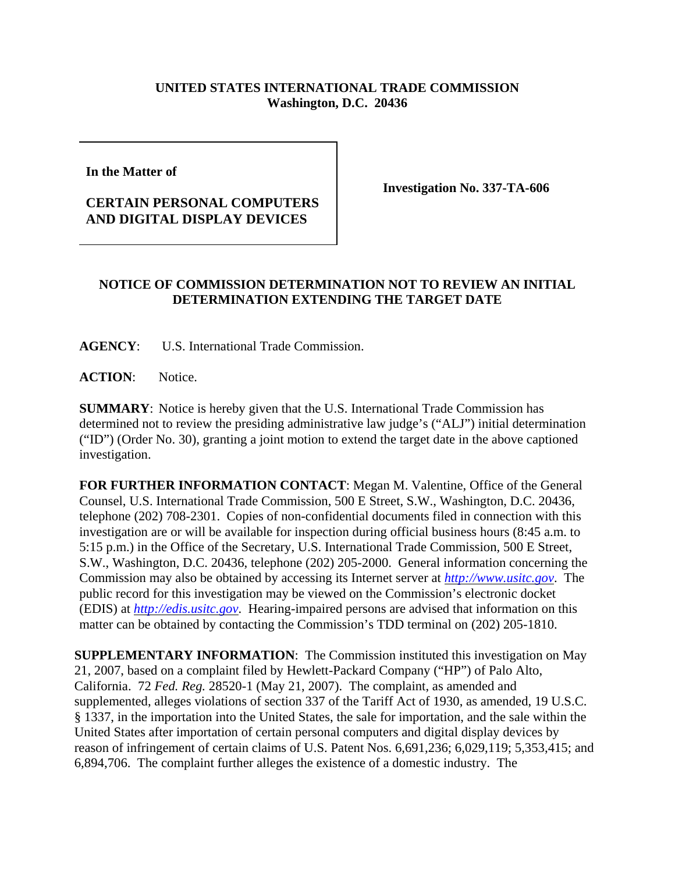## **UNITED STATES INTERNATIONAL TRADE COMMISSION Washington, D.C. 20436**

**In the Matter of** 

## **CERTAIN PERSONAL COMPUTERS AND DIGITAL DISPLAY DEVICES**

**Investigation No. 337-TA-606**

## **NOTICE OF COMMISSION DETERMINATION NOT TO REVIEW AN INITIAL DETERMINATION EXTENDING THE TARGET DATE**

**AGENCY**: U.S. International Trade Commission.

ACTION: Notice.

**SUMMARY**: Notice is hereby given that the U.S. International Trade Commission has determined not to review the presiding administrative law judge's ("ALJ") initial determination ("ID") (Order No. 30), granting a joint motion to extend the target date in the above captioned investigation.

**FOR FURTHER INFORMATION CONTACT**: Megan M. Valentine, Office of the General Counsel, U.S. International Trade Commission, 500 E Street, S.W., Washington, D.C. 20436, telephone (202) 708-2301. Copies of non-confidential documents filed in connection with this investigation are or will be available for inspection during official business hours (8:45 a.m. to 5:15 p.m.) in the Office of the Secretary, U.S. International Trade Commission, 500 E Street, S.W., Washington, D.C. 20436, telephone (202) 205-2000. General information concerning the Commission may also be obtained by accessing its Internet server at *http://www.usitc.gov*. The public record for this investigation may be viewed on the Commission's electronic docket (EDIS) at *http://edis.usitc.gov*. Hearing-impaired persons are advised that information on this matter can be obtained by contacting the Commission's TDD terminal on (202) 205-1810.

**SUPPLEMENTARY INFORMATION**: The Commission instituted this investigation on May 21, 2007, based on a complaint filed by Hewlett-Packard Company ("HP") of Palo Alto, California. 72 *Fed. Reg.* 28520-1 (May 21, 2007). The complaint, as amended and supplemented, alleges violations of section 337 of the Tariff Act of 1930, as amended, 19 U.S.C. § 1337, in the importation into the United States, the sale for importation, and the sale within the United States after importation of certain personal computers and digital display devices by reason of infringement of certain claims of U.S. Patent Nos. 6,691,236; 6,029,119; 5,353,415; and 6,894,706. The complaint further alleges the existence of a domestic industry. The